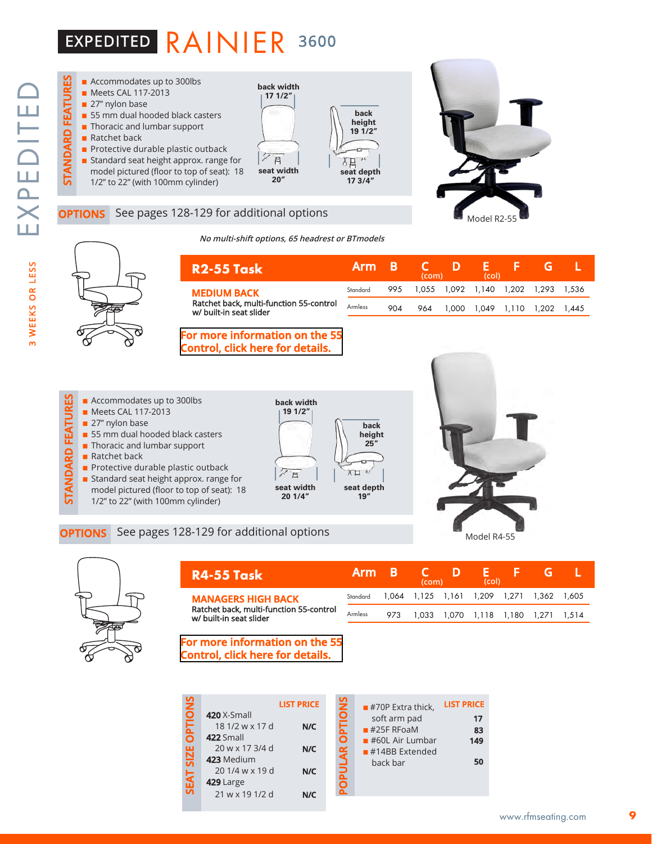### EXPEDITED RAINIER 3600



#### See pages 128-129 for additional options

**No multi-shift options, 65 headrest or BTmodels**





|                                                                    | Arm B    |     | (com) | (col) |                                     |  |
|--------------------------------------------------------------------|----------|-----|-------|-------|-------------------------------------|--|
| <b>MEDIUM BACK</b>                                                 | Standard | 995 |       |       | 1,055 1,092 1,140 1,202 1,293 1,536 |  |
| Ratchet back, multi-function 55-control<br>w/ built-in seat slider | Armless  | 904 | 964   |       | 1.000 1.049 1.110 1.202 1.445       |  |

#### **[For more information on the 55](http://rfmseating.com/wp-content/uploads/2022/01/Control-55.pdf)  Control, click here for details.**

- **Example 128-129** for additional options<br> **OPTIONS** See pages 128-129 for additional options<br>
SEE PROBUSE TO SANDARD FIND A STANDARD FIND A Standard seat height approx. range for<br> **OPTIONS** See pages 128-129 for additional  $\blacksquare$  Accommodates up to 300lbs ■ Meets CAL 117-2013 27" nylon base  $\blacksquare$  55 mm dual hooded black casters **n** Thoracic and lumbar support  $\blacksquare$  Ratchet back **n** Protective durable plastic outback
	- **n** Standard seat height approx. range for model pictured (floor to top of seat): 18
	- 1/2" to 22" (with 100mm cylinder)







| R4-55 Task                                                         | Arm B                                              |     | (com) | D | (col) |                                     |  |
|--------------------------------------------------------------------|----------------------------------------------------|-----|-------|---|-------|-------------------------------------|--|
| <b>MANAGERS HIGH BACK</b>                                          | Standard 1,064 1,125 1,161 1,209 1,271 1,362 1,605 |     |       |   |       |                                     |  |
| Ratchet back, multi-function 55-control<br>w/ built-in seat slider | Armless                                            | 973 |       |   |       | 1,033 1,070 1,118 1,180 1,271 1,514 |  |

#### **[For more information on the 55](http://rfmseating.com/wp-content/uploads/2022/01/Control-55.pdf)  Control, click here for details.**

| <b>DPTIONS</b> |                    | <b>LIST PRICE</b> | <b>DPTIONS</b> |
|----------------|--------------------|-------------------|----------------|
|                | <b>420</b> X-Small |                   |                |
|                | 18 1/2 w x 17 d    | N/C               |                |
|                | 422 Small          |                   |                |
|                | 20 w x 17 3/4 d    | N/C               |                |
| <b>SIZE</b>    | 423 Medium         |                   |                |
|                | 201/4 w x 19 d     | N/C               | OPULAR         |
| <b>SEAT</b>    | 429 Large          |                   |                |
|                | 21 w x 19 1/2 d    | N/C               |                |
|                |                    |                   |                |

|               | $\blacksquare$ #70P Extra thick, | <b>LIST PRICE</b> |
|---------------|----------------------------------|-------------------|
| $\frac{2}{2}$ | soft arm pad                     | 17                |
|               | $#25F$ RFoaM                     | 83                |
| 5             | $\blacksquare$ #60L Air Lumbar   | 149               |
| ś             | $#14BB$ Extended                 |                   |
|               | back bar                         | 50                |
|               |                                  |                   |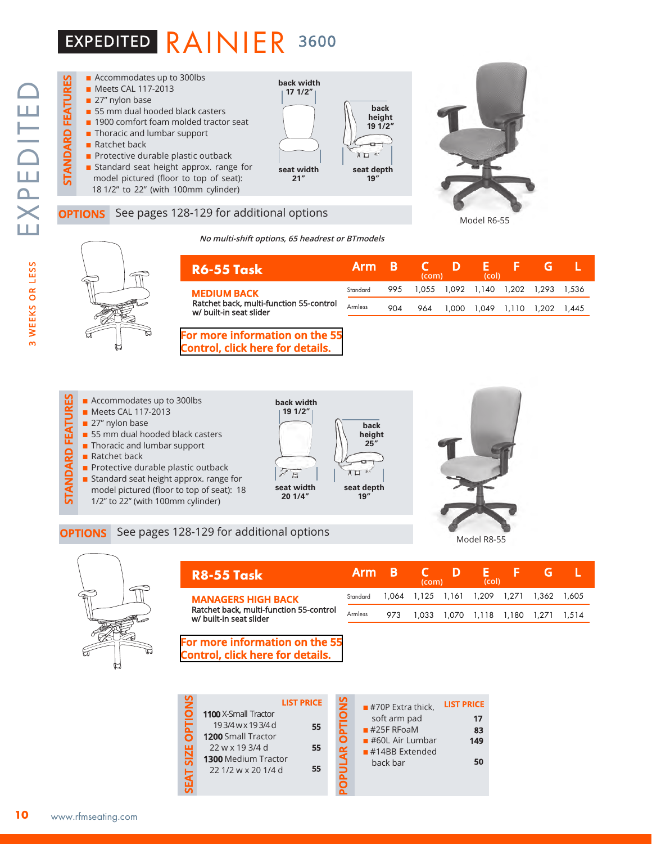### EXPEDITED RAINIER 3600







Model R8-55



|  | no mani simi options, os neadrest or Brinodels |  |  |
|--|------------------------------------------------|--|--|
|  |                                                |  |  |
|  |                                                |  |  |

| <b>R6-55 Task</b>                                                  | 'Arm     |     | (com)                               |      | (col) |                   |       |
|--------------------------------------------------------------------|----------|-----|-------------------------------------|------|-------|-------------------|-------|
| <b>MEDIUM BACK</b>                                                 | Standard | 995 | 1.055 1.092 1.140 1.202 1.293 1.536 |      |       |                   |       |
| Ratchet back, multi-function 55-control<br>w/ built-in seat slider | Armless  | 904 | 964                                 | .000 |       | 1.049 1.110 1.202 | 1.445 |

#### **[For more information on the 55](http://rfmseating.com/wp-content/uploads/2022/01/Control-55.pdf)  Control, click here for details.**

**Example 128-129** for additional options<br> **OPTIONS** See pages 128-129 for additional options<br>
SEE PROBUSE TO SANDARD FIND A STANDARD FIND A Standard seat height approx. range for<br> **OPTIONS** See pages 128-129 for additional  $\blacksquare$  Accommodates up to 300lbs **back width 19 1/2"** ■ Meets CAL 117-2013 27" nylon base **back**   $\blacksquare$  55 mm dual hooded black casters **height 25" n** Thoracic and lumbar support  $\blacksquare$  Ratchet back ÷  $\blacksquare$  Protective durable plastic outback  $\pi$ **n** Standard seat height approx. range for **seat width seat depth** model pictured (floor to top of seat): 18 **20 1/4" 19"** 1/2" to 22" (with 100mm cylinder)



| <b>R8-55 Task</b>                                                                               | <b>Arm</b> |     | (com) | Ш                                         | (col) |  |  |
|-------------------------------------------------------------------------------------------------|------------|-----|-------|-------------------------------------------|-------|--|--|
| <b>MANAGERS HIGH BACK</b><br>Ratchet back, multi-function 55-control<br>w/ built-in seat slider | Standard   |     |       | 1.064 1.125 1.161 1.209 1.271 1.362 1.605 |       |  |  |
|                                                                                                 | Armless    | 973 |       | 1,033 1,070 1,118 1,180 1,271 1,514       |       |  |  |

#### **[For more information on the 55](http://rfmseating.com/wp-content/uploads/2022/01/Control-55.pdf)  Control, click here for details.**

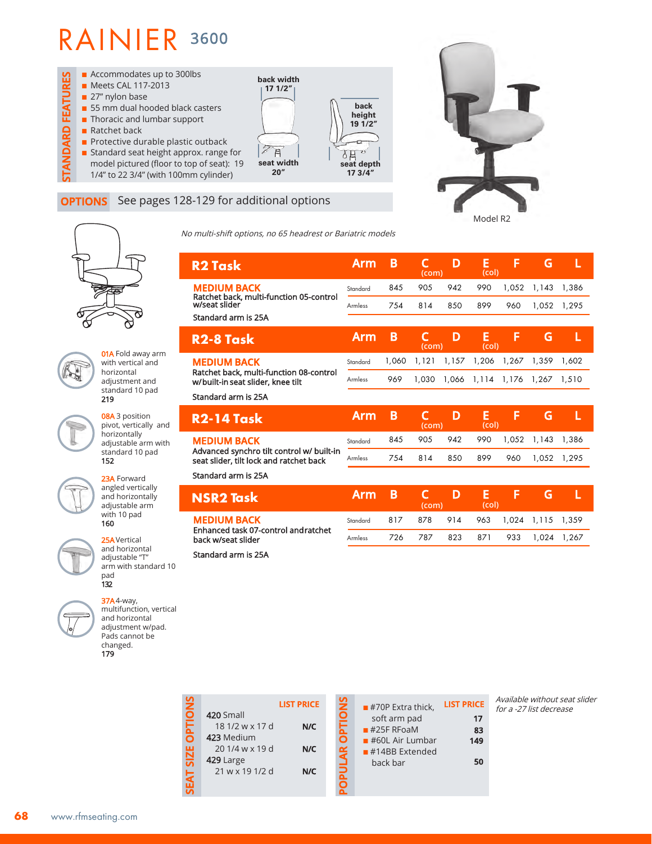

### **OPTIONS** See pages 128-129 for additional options



**01A** Fold away arm with vertical and horizontal adjustment and standard 10 pad 219

08A 3 position pivot, vertically and horizontally adjustable arm with standard 10 pad 152



23A Forward angled vertically and horizontally adjustable arm with 10 pad 160

25AVertical and horizontal adjustable "T" arm with standard 10 pad 132

37A4-way, multifunction, vertical and horizontal adjustment w/pad. Pads cannot be changed. 179

No multi-shift options, no 65 headrest or Bariatric models

| <b>R2 Task</b>                                                                       | Arm      | B     | (com) | D     | E<br>(col) | F     | G     | L     |
|--------------------------------------------------------------------------------------|----------|-------|-------|-------|------------|-------|-------|-------|
| <b>MEDIUM BACK</b><br>Ratchet back, multi-function 05-control                        | Standard | 845   | 905   | 942   | 990        | 1,052 | 1,143 | 1,386 |
| w/seat slider                                                                        | Armless  | 754   | 814   | 850   | 899        | 960   | 1,052 | 1,295 |
| Standard arm is 25A                                                                  |          |       |       |       |            |       |       |       |
| R <sub>2</sub> -8 Task                                                               | Arm      | B     | (com) | D     | E<br>(col) | F     | G     | L     |
| <b>MEDIUM BACK</b>                                                                   | Standard | 1,060 | 1,121 | 1,157 | 1,206      | 1,267 | 1.359 | 1.602 |
| Ratchet back, multi-function 08-control<br>w/built-in seat slider, knee tilt         | Armless  | 969   | 1,030 | 1,066 | 1,114      | 1,176 | 1,267 | 1,510 |
| Standard arm is 25A                                                                  |          |       |       |       |            |       |       |       |
| <b>R2-14 Task</b>                                                                    | Arm      | B     | (com) | D     | Е<br>(col) | F     | G     |       |
| <b>MEDIUM BACK</b>                                                                   | Standard | 845   | 905   | 942   | 990        | 1,052 | 1,143 | 1,386 |
| Advanced synchro tilt control w/ built-in<br>seat slider, tilt lock and ratchet back | Armless  | 754   | 814   | 850   | 899        | 960   | 1,052 | 1.295 |

Model R2

Standard arm is 25A

| <b>NSR2 Task</b>                                                                 | Arm B I        | (com)               | CD. | (col) | F. F.                             |             |  |
|----------------------------------------------------------------------------------|----------------|---------------------|-----|-------|-----------------------------------|-------------|--|
| <b>MEDIUM BACK</b><br>Enhanced task 07-control and ratchet<br>back w/seat slider | Standard       |                     |     |       | 817 878 914 963 1.024 1.115 1.359 |             |  |
|                                                                                  | <b>Armless</b> | 726 787 823 871 933 |     |       |                                   | 1.024 1.267 |  |
| Chain dond some to OEA.                                                          |                |                     |     |       |                                   |             |  |

Standard arm is 25A

**SEAT SIZE OPTIONS**

EAT SIZE OPTION

**LIST PRICE** 420 Small 18 1/2 w x 17 d **N/C** 423 Medium 20 1/4 w x 19 d **N/C** 429 Large 21 w x 19 1/2 d **N/C**

**OPULAR OPTIONS** 

| 3<br>5    | $\blacksquare$ #70P Extra thick. | <b>LIST PRICE</b> |
|-----------|----------------------------------|-------------------|
|           | soft arm pad                     | 17                |
|           | $#25F$ RFoaM                     | 83                |
|           | $#60L$ Air Lumbar                | 149               |
| <u>o⁄</u> | $#14BB$ Extended                 |                   |
|           | back bar                         | 50                |
|           |                                  |                   |
|           |                                  |                   |

Available without seat slider for a -27 list decrease

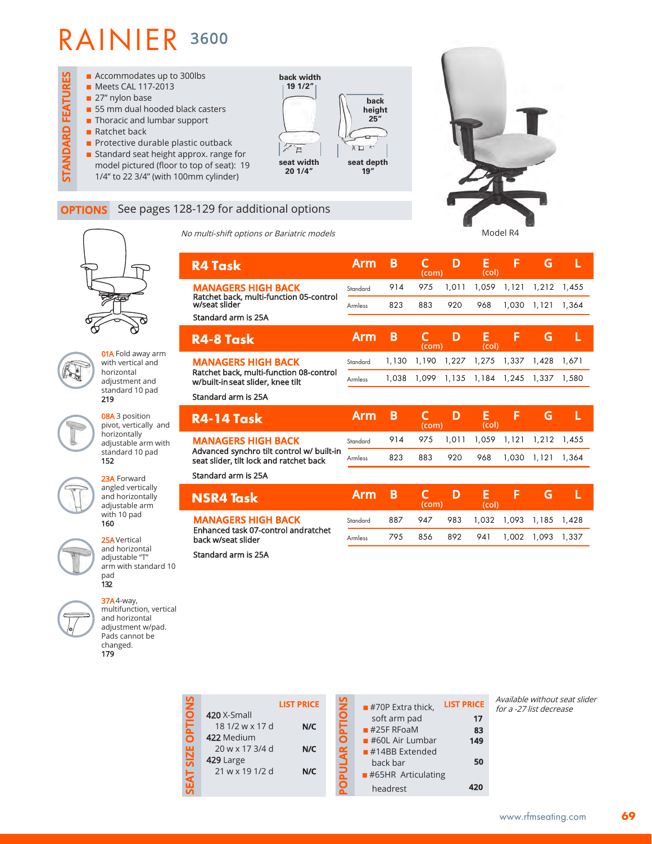**01A** Fold away arm with vertical and horizontal adjustment and standard 10 pad

08A 3 position pivot, vertically and horizontally adjustable arm with standard 10 pad

23A Forward angled vertically and horizontally adjustable arm with 10 pad 160

25AVertical and horizontal adjustable "T" arm with standard 10

multifunction, vertical and horizontal adjustment w/pad. Pads cannot be changed. 179

pad 132

219

152

**STANDARD FEATURES**

**STANDARD FEATURES** 



#### **OPTIONS** See pages 128-

No multi-shift options or Bariatric models

| -129 for additional options                                                  |            |       |            |       |             |             |       |       |
|------------------------------------------------------------------------------|------------|-------|------------|-------|-------------|-------------|-------|-------|
| multi-shift options or Bariatric models                                      |            |       |            |       |             | Model R4    |       |       |
| <b>R4 Task</b>                                                               | <b>Arm</b> | B     | C<br>(com) | D     | E<br>(col)  | F           | G     | L     |
| <b>MANAGERS HIGH BACK</b>                                                    | Standard   | 914   | 975        | 1,011 | 1,059       | 1,121       | 1,212 | 1,455 |
| Ratchet back, multi-function 05-control<br>w/seat slider                     | Armless    | 823   | 883        | 920   | 968         | 1,030       | 1,121 | 1,364 |
| Standard arm is 25A                                                          |            |       |            |       |             |             |       |       |
| R4-8 Task                                                                    | <b>Arm</b> | B     | C<br>(com) | D     | Е<br>(col)  | F           | G     | L     |
| <b>MANAGERS HIGH BACK</b>                                                    | Standard   | 1,130 | 1,190      |       | 1,227 1,275 | 1,337       | 1,428 | 1.671 |
| Ratchet back, multi-function 08-control<br>w/built-in seat slider, knee tilt | Armless    | 1,038 | 1,099      | 1,135 |             | 1,184 1,245 | 1,337 | 1,580 |
| Standard arm is 25A                                                          |            |       |            |       |             |             |       |       |
| <b>R4-14 Task</b>                                                            | <b>Arm</b> | B     | C<br>(com) | D     | E<br>(col)  | F           | G     | Ľ     |
| <b>MANAGERS HIGH BACK</b>                                                    |            |       |            |       |             |             |       |       |

Advanced synchro tilt control w/ built-in seat slider, tilt lock and ratchet back

Standard arm is 25A

| <b>NSR4 Task</b>                                          | 'Arm B.  |      | $\mathcal{C}$<br>(com) | D   | F.<br>(col)                 |                       | ω. |  |
|-----------------------------------------------------------|----------|------|------------------------|-----|-----------------------------|-----------------------|----|--|
| <b>MANAGERS HIGH BACK</b>                                 | Standard | 887  | 947                    |     | 983 1.032 1.093 1.185 1.428 |                       |    |  |
| Enhanced task 07-control andratchet<br>back w/seat slider | Armless  | 79.5 | 856 —                  | 892 |                             | 941 1.002 1.093 1.337 |    |  |

823 883 920 968 1,030 1,121 1,364

Armless

Standard arm is 25A

| <b>37A</b> 4-way, |
|-------------------|
| multifuncti       |
| and horizo        |
| adjustmen         |
| Pads canno        |
|                   |

| Z       |                                            | <b>LIST PRICE</b> |
|---------|--------------------------------------------|-------------------|
| 0<br>Ē  | 420 X-Small<br>18 1/2 w x 17 d             | N/C               |
| ┍<br>52 | 422 Medium<br>20 w x 17 3/4 d<br>429 Large | N/C               |
|         | 21 w x 19 1/2 d                            | N/C               |

# **OPULAR OPTIONS POPULAR OPTIONS**

| $\blacksquare$ #70P Extra thick,  | <b>LIST PRICE</b> |
|-----------------------------------|-------------------|
| soft arm pad                      | 17                |
| $#25F$ RFoaM                      | 83                |
| $\blacksquare$ #60L Air Lumbar    | 149               |
| $#14BB$ Extended                  |                   |
| hack har                          | 50                |
| $\blacksquare$ #65HR Articulating |                   |
| headrest                          |                   |

Available without seat slider for a -27 list decrease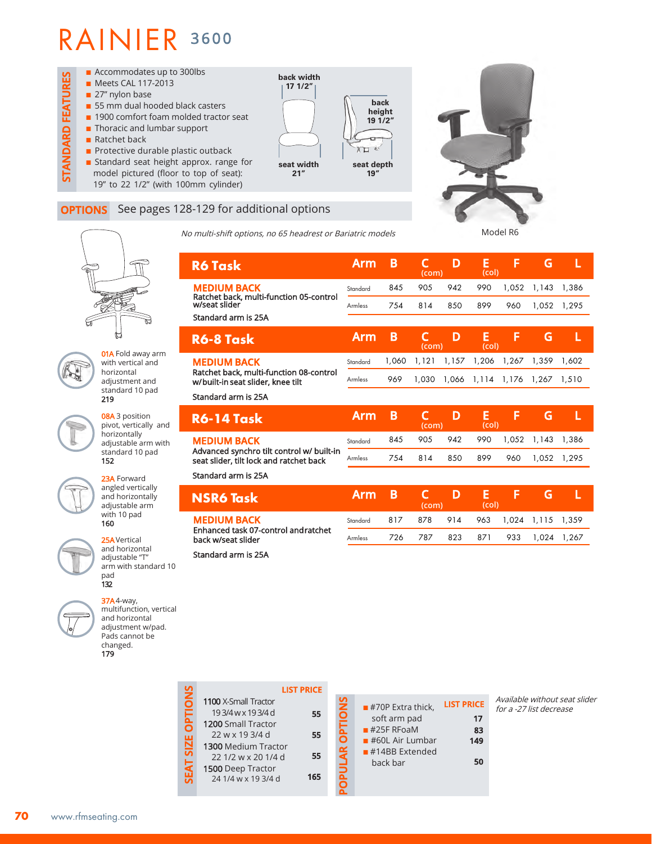

#### **OPTIONS** See pages 128-129 for additional options

No multi-shift options, no 65 headrest or Bariatric models

Ratchet back, multi-function 05-control w/seat slider



**C D E F G L** 

**Arm B C D E F G L (com) (col)**

> 845 905 942 990 1,052 1,143 1,386 754 814 850 899 960 1,052 1,295

> 754 814 850 899 960 1,052 1,295

**(com) (col)**



with vertical and  $h$ adjustment and standard 10 pad 219

08A 3 position pivot, vertically and horizontally adjustable arm with standard 10 pad 152



angled vertically and horizontally adjustable arm

25AVertical adjustable "T" arm with standard 10 pad

multifunction, vertical and horizontal adjustment w/pad. Pads cannot be changed. 179

**LIST PRICE SEAT SIZE OPTIONS** S 1100 X-Small Tractor **POPULAR OPTIONS** ō **PTI** 193/4wx193/4d **55** 1200 Small Tractor SIZE<sup></sup> 22 w x 19 3/4 d **55** 1300 Medium Tractor **55** 22 1/2 w x 20 1/4 d 1500 Deep Tractor **165** 24 1/4 w x 19 3/4 d

| $\blacksquare$ #70P Extra thick, | <b>LIST PRICE</b> |
|----------------------------------|-------------------|
| soft arm pad                     | 17                |
| $#25F$ RFoaM                     | 83                |
| $\blacksquare$ #60L Air Lumbar   | 149               |
| $#14BB$ Extended                 |                   |
| back bar                         | 50                |
|                                  |                   |

Available without seat slider for a -27 list decrease

|                          | R6  |
|--------------------------|-----|
| <b>01A</b> Fold away arm |     |
| with vertical and        | МE  |
| horizontal               | Rat |
| adjustment and           | w/b |
| standard 10 pad          |     |
|                          |     |





132 37A4-way,

| 70 | www.rfmseating.com |
|----|--------------------|

| <b>MEDIUM BACK</b><br>Ratchet back, multi-function 08-control<br>w/built-in seat slider, knee tilt | Standard<br>Armless | 1.060<br>969 |       | 1,121 1,157 1,206 1,267 1,359 1,602<br>1,030 1,066 1,114 1,176 1,267 1,510 |             |    |   |  |
|----------------------------------------------------------------------------------------------------|---------------------|--------------|-------|----------------------------------------------------------------------------|-------------|----|---|--|
| Standard arm is 25A                                                                                |                     |              |       |                                                                            |             |    |   |  |
|                                                                                                    |                     |              |       |                                                                            |             |    |   |  |
| <b>R6-14 Task</b>                                                                                  | <b>Arm</b>          | B            | (com) | D                                                                          | F.<br>(col) | F. | G |  |

Advanced synchro tilt control w/ built-in seat slider, tilt lock and ratchet back

Standard arm is 25A

**MEDIUM BACK** 

**R6 Task**

Standard arm is 25A

**R6-8 Task**

| <b>NSR6 Task</b>                                           | 'Arm B C . |     | (com) | <b>D</b> | F.<br>(col) | .E. 1                             |             |  |
|------------------------------------------------------------|------------|-----|-------|----------|-------------|-----------------------------------|-------------|--|
| <b>MEDIUM BACK</b>                                         | Standard   |     |       |          |             | 817 878 914 963 1,024 1,115 1,359 |             |  |
| Enhanced task 07-control and ratchet<br>back w/seat slider | Armless    | 726 | 787   |          | 823 871 933 |                                   | 1.024 1.267 |  |
|                                                            |            |     |       |          |             |                                   |             |  |

Armless

Standard Armless

**Arm B** 

Standard arm is 25A

| ٠<br>- |
|--------|
|        |
|        |
| ∙<br>- |
|        |
| 87     |
| ≂<br>× |
| -      |
| -      |
| ٠<br>- |
|        |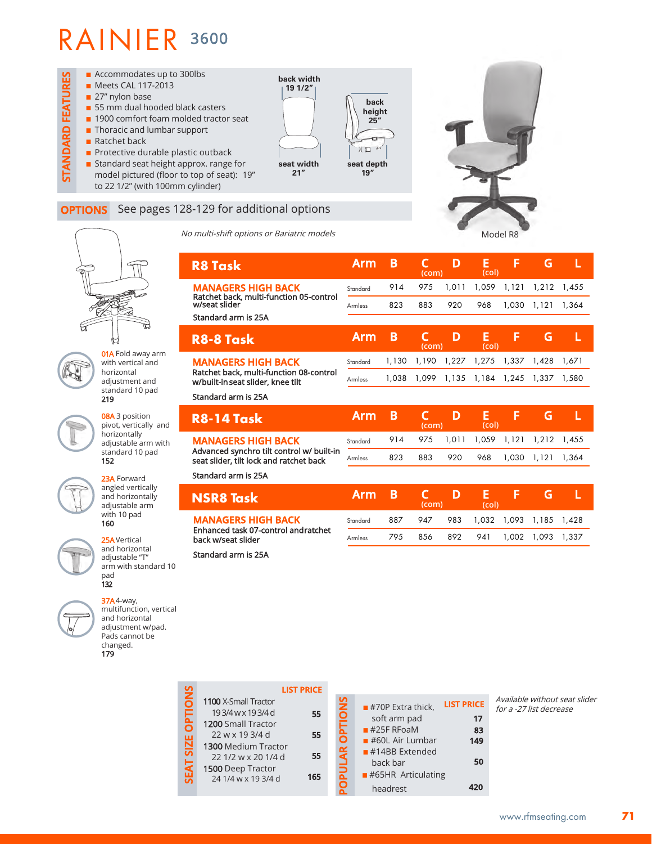01A Fold away arm with vertical and horizontal adjustment and standard 10 pad

08A 3 position pivot, vertically and horizontally adjustable arm with standard 10 pad

23A Forward angled vertically and horizontally adjustable arm with 10 pad 160

25AVertical and horizontal adjustable "T" arm with standard 10

multifunction, vertical and horizontal adjustment w/pad. Pads cannot be changed. 179

pad 132 37A4-way,

219

152



#### **OPTIONS** See pages 128-129 for additional options

No multi-shift options or Bariatric models

| No multi-shift options or Bariatric models                                           |                |       |                       |       |            | Model R8 |       |       |
|--------------------------------------------------------------------------------------|----------------|-------|-----------------------|-------|------------|----------|-------|-------|
| <b>R8 Task</b>                                                                       | <b>Arm</b>     | B     | C<br>(com)            | D     | E<br>(col) | F        | G     | L     |
| <b>MANAGERS HIGH BACK</b><br>Ratchet back, multi-function 05-control                 | Standard       | 914   | 975                   | 1,011 | 1,059      | 1,121    | 1,212 | 1,455 |
| w/seat slider                                                                        | <b>Armless</b> | 823   | 883                   | 920   | 968        | 1,030    | 1,121 | 1,364 |
| Standard arm is 25A                                                                  |                |       |                       |       |            |          |       |       |
| <b>R8-8 Task</b>                                                                     | <b>Arm</b>     | B     | C<br>(com)            | D     | E<br>(col) | F        | G     | L     |
| <b>MANAGERS HIGH BACK</b>                                                            | Standard       | 1,130 | 1,190                 | 1,227 | 1,275      | 1,337    | 1,428 | 1,671 |
| Ratchet back, multi-function 08-control<br>w/built-in seat slider, knee tilt         | <b>Armless</b> | 1,038 | 1,099                 | 1,135 | 1,184      | 1,245    | 1,337 | 1,580 |
| Standard arm is 25A                                                                  |                |       |                       |       |            |          |       |       |
|                                                                                      |                |       |                       |       |            |          |       |       |
| <b>R8-14 Task</b>                                                                    | <b>Arm</b>     | B     | C<br>(com)            | D     | E<br>(col) | F        | G     | L     |
| <b>MANAGERS HIGH BACK</b>                                                            | Standard       | 914   | 975                   | 1,011 | 1,059      | 1,121    | 1,212 | 1,455 |
| Advanced synchro tilt control w/ built-in<br>seat slider, tilt lock and ratchet back | Armless        | 823   | 883                   | 920   | 968        | 1,030    | 1,121 | 1,364 |
| Standard arm is 25A                                                                  |                |       |                       |       |            |          |       |       |
| <b>NSR8 Task</b>                                                                     | <b>Arm</b>     | B     | $\mathsf{C}$<br>(com) | D     | E<br>(col) | F        | G     | L     |
| <b>MANAGERS HIGH BACK</b>                                                            | Standard       | 887   | 947                   | 983   | 1,032      | 1,093    | 1,185 | 1,428 |
| Enhanced task 07-control andratchet<br>back w/seat slider                            | <b>Armless</b> | 795   | 856                   | 892   | 941        | 1,002    | 1,093 | 1,337 |

**Card** 

|             |                      | <b>LIST PRICE</b> |
|-------------|----------------------|-------------------|
| PTIONS      | 1100 X-Small Tractor |                   |
|             | 193/4 w x 193/4 d    | 55                |
| ក           | 1200 Small Tractor   |                   |
|             | 22 w x 19 3/4 d      | 55                |
| <b>SIZE</b> | 1300 Medium Tractor  |                   |
|             | 22 1/2 w x 20 1/4 d  | 55                |
| <b>LVE</b>  | 1500 Deep Tractor    |                   |
| ភ           | 24 1/4 w x 19 3/4 d  | 165               |
|             |                      |                   |
|             |                      |                   |

| Z      | $\blacksquare$ #70P Extra thick,  | <b>LIST PRICE</b> |
|--------|-----------------------------------|-------------------|
| ₿<br>۰ | soft arm pad                      | 17                |
|        | $#25F$ RFoaM                      | 83                |
|        | $\blacksquare$ #60L Air Lumbar    | 149               |
|        | $#14BB$ Extended                  |                   |
|        | back bar                          | 50                |
|        | $\blacksquare$ #65HR Articulating |                   |
|        | headrest                          |                   |

Available without seat slider for a -27 list decrease